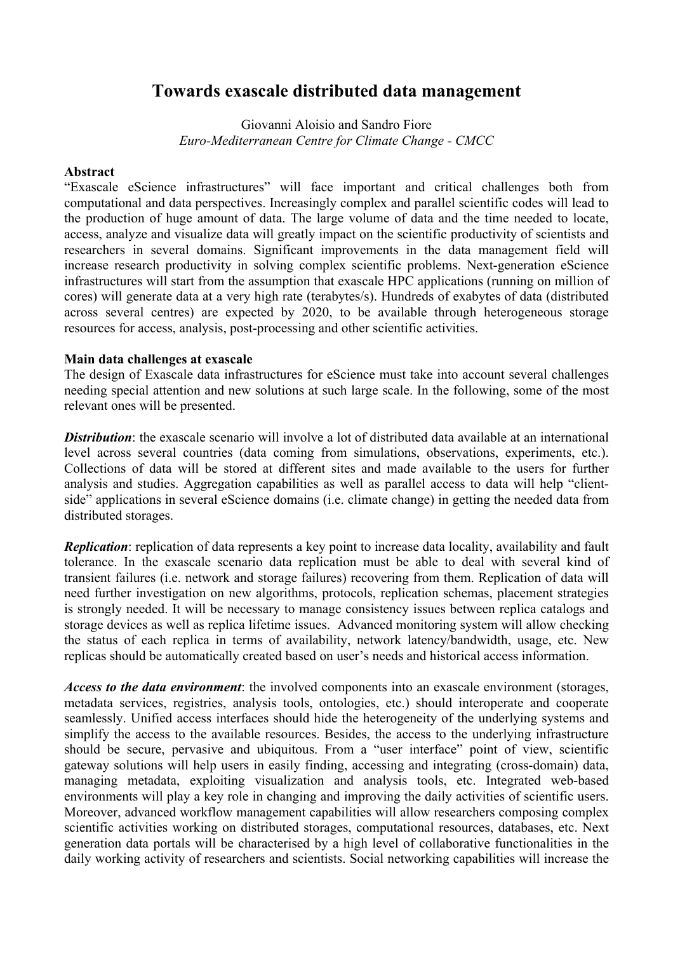## **Towards exascale distributed data management**

Giovanni Aloisio and Sandro Fiore *Euro-Mediterranean Centre for Climate Change - CMCC*

## **Abstract**

"Exascale eScience infrastructures" will face important and critical challenges both from computational and data perspectives. Increasingly complex and parallel scientific codes will lead to the production of huge amount of data. The large volume of data and the time needed to locate, access, analyze and visualize data will greatly impact on the scientific productivity of scientists and researchers in several domains. Significant improvements in the data management field will increase research productivity in solving complex scientific problems. Next-generation eScience infrastructures will start from the assumption that exascale HPC applications (running on million of cores) will generate data at a very high rate (terabytes/s). Hundreds of exabytes of data (distributed across several centres) are expected by 2020, to be available through heterogeneous storage resources for access, analysis, post-processing and other scientific activities.

## **Main data challenges at exascale**

The design of Exascale data infrastructures for eScience must take into account several challenges needing special attention and new solutions at such large scale. In the following, some of the most relevant ones will be presented.

*Distribution*: the exascale scenario will involve a lot of distributed data available at an international level across several countries (data coming from simulations, observations, experiments, etc.). Collections of data will be stored at different sites and made available to the users for further analysis and studies. Aggregation capabilities as well as parallel access to data will help "clientside" applications in several eScience domains (i.e. climate change) in getting the needed data from distributed storages.

*Replication*: replication of data represents a key point to increase data locality, availability and fault tolerance. In the exascale scenario data replication must be able to deal with several kind of transient failures (i.e. network and storage failures) recovering from them. Replication of data will need further investigation on new algorithms, protocols, replication schemas, placement strategies is strongly needed. It will be necessary to manage consistency issues between replica catalogs and storage devices as well as replica lifetime issues. Advanced monitoring system will allow checking the status of each replica in terms of availability, network latency/bandwidth, usage, etc. New replicas should be automatically created based on user's needs and historical access information.

*Access to the data environment*: the involved components into an exascale environment (storages, metadata services, registries, analysis tools, ontologies, etc.) should interoperate and cooperate seamlessly. Unified access interfaces should hide the heterogeneity of the underlying systems and simplify the access to the available resources. Besides, the access to the underlying infrastructure should be secure, pervasive and ubiquitous. From a "user interface" point of view, scientific gateway solutions will help users in easily finding, accessing and integrating (cross-domain) data, managing metadata, exploiting visualization and analysis tools, etc. Integrated web-based environments will play a key role in changing and improving the daily activities of scientific users. Moreover, advanced workflow management capabilities will allow researchers composing complex scientific activities working on distributed storages, computational resources, databases, etc. Next generation data portals will be characterised by a high level of collaborative functionalities in the daily working activity of researchers and scientists. Social networking capabilities will increase the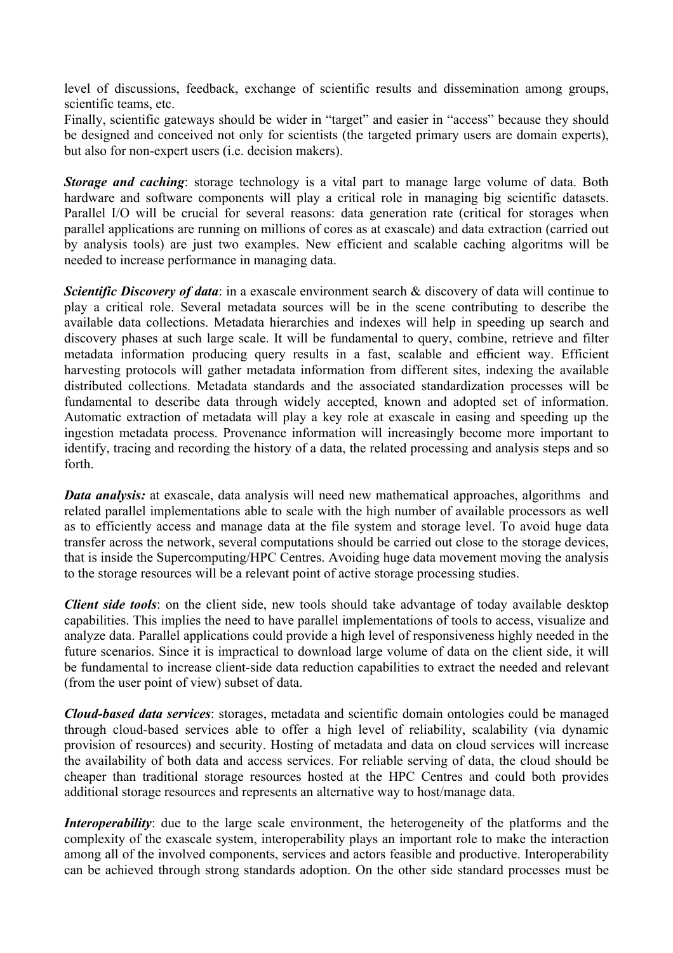level of discussions, feedback, exchange of scientific results and dissemination among groups, scientific teams, etc.

Finally, scientific gateways should be wider in "target" and easier in "access" because they should be designed and conceived not only for scientists (the targeted primary users are domain experts), but also for non-expert users (i.e. decision makers).

*Storage and caching*: storage technology is a vital part to manage large volume of data. Both hardware and software components will play a critical role in managing big scientific datasets. Parallel I/O will be crucial for several reasons: data generation rate (critical for storages when parallel applications are running on millions of cores as at exascale) and data extraction (carried out by analysis tools) are just two examples. New efficient and scalable caching algoritms will be needed to increase performance in managing data.

*Scientific Discovery of data*: in a exascale environment search & discovery of data will continue to play a critical role. Several metadata sources will be in the scene contributing to describe the available data collections. Metadata hierarchies and indexes will help in speeding up search and discovery phases at such large scale. It will be fundamental to query, combine, retrieve and filter metadata information producing query results in a fast, scalable and efficient way. Efficient harvesting protocols will gather metadata information from different sites, indexing the available distributed collections. Metadata standards and the associated standardization processes will be fundamental to describe data through widely accepted, known and adopted set of information. Automatic extraction of metadata will play a key role at exascale in easing and speeding up the ingestion metadata process. Provenance information will increasingly become more important to identify, tracing and recording the history of a data, the related processing and analysis steps and so forth.

*Data analysis:* at exascale, data analysis will need new mathematical approaches, algorithms and related parallel implementations able to scale with the high number of available processors as well as to efficiently access and manage data at the file system and storage level. To avoid huge data transfer across the network, several computations should be carried out close to the storage devices, that is inside the Supercomputing/HPC Centres. Avoiding huge data movement moving the analysis to the storage resources will be a relevant point of active storage processing studies.

*Client side tools*: on the client side, new tools should take advantage of today available desktop capabilities. This implies the need to have parallel implementations of tools to access, visualize and analyze data. Parallel applications could provide a high level of responsiveness highly needed in the future scenarios. Since it is impractical to download large volume of data on the client side, it will be fundamental to increase client-side data reduction capabilities to extract the needed and relevant (from the user point of view) subset of data.

*Cloud-based data services*: storages, metadata and scientific domain ontologies could be managed through cloud-based services able to offer a high level of reliability, scalability (via dynamic provision of resources) and security. Hosting of metadata and data on cloud services will increase the availability of both data and access services. For reliable serving of data, the cloud should be cheaper than traditional storage resources hosted at the HPC Centres and could both provides additional storage resources and represents an alternative way to host/manage data.

*Interoperability*: due to the large scale environment, the heterogeneity of the platforms and the complexity of the exascale system, interoperability plays an important role to make the interaction among all of the involved components, services and actors feasible and productive. Interoperability can be achieved through strong standards adoption. On the other side standard processes must be